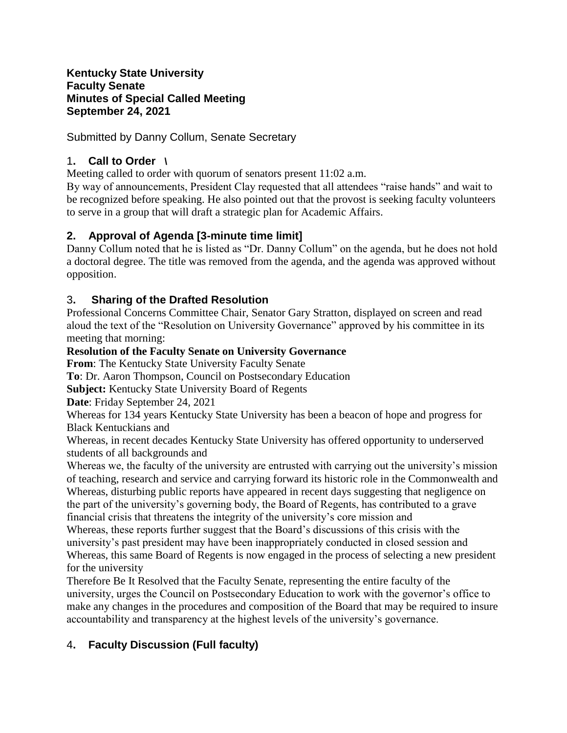### **Kentucky State University Faculty Senate Minutes of Special Called Meeting September 24, 2021**

Submitted by Danny Collum, Senate Secretary

## 1**. Call to Order \**

Meeting called to order with quorum of senators present 11:02 a.m.

By way of announcements, President Clay requested that all attendees "raise hands" and wait to be recognized before speaking. He also pointed out that the provost is seeking faculty volunteers to serve in a group that will draft a strategic plan for Academic Affairs.

# **2. Approval of Agenda [3-minute time limit]**

Danny Collum noted that he is listed as "Dr. Danny Collum" on the agenda, but he does not hold a doctoral degree. The title was removed from the agenda, and the agenda was approved without opposition.

# 3**. Sharing of the Drafted Resolution**

Professional Concerns Committee Chair, Senator Gary Stratton, displayed on screen and read aloud the text of the "Resolution on University Governance" approved by his committee in its meeting that morning:

### **Resolution of the Faculty Senate on University Governance**

**From**: The Kentucky State University Faculty Senate

**To**: Dr. Aaron Thompson, Council on Postsecondary Education

**Subject:** Kentucky State University Board of Regents

**Date**: Friday September 24, 2021

Whereas for 134 years Kentucky State University has been a beacon of hope and progress for Black Kentuckians and

Whereas, in recent decades Kentucky State University has offered opportunity to underserved students of all backgrounds and

Whereas we, the faculty of the university are entrusted with carrying out the university's mission of teaching, research and service and carrying forward its historic role in the Commonwealth and Whereas, disturbing public reports have appeared in recent days suggesting that negligence on the part of the university's governing body, the Board of Regents, has contributed to a grave financial crisis that threatens the integrity of the university's core mission and

Whereas, these reports further suggest that the Board's discussions of this crisis with the university's past president may have been inappropriately conducted in closed session and Whereas, this same Board of Regents is now engaged in the process of selecting a new president for the university

Therefore Be It Resolved that the Faculty Senate, representing the entire faculty of the university, urges the Council on Postsecondary Education to work with the governor's office to make any changes in the procedures and composition of the Board that may be required to insure accountability and transparency at the highest levels of the university's governance.

# 4**. Faculty Discussion (Full faculty)**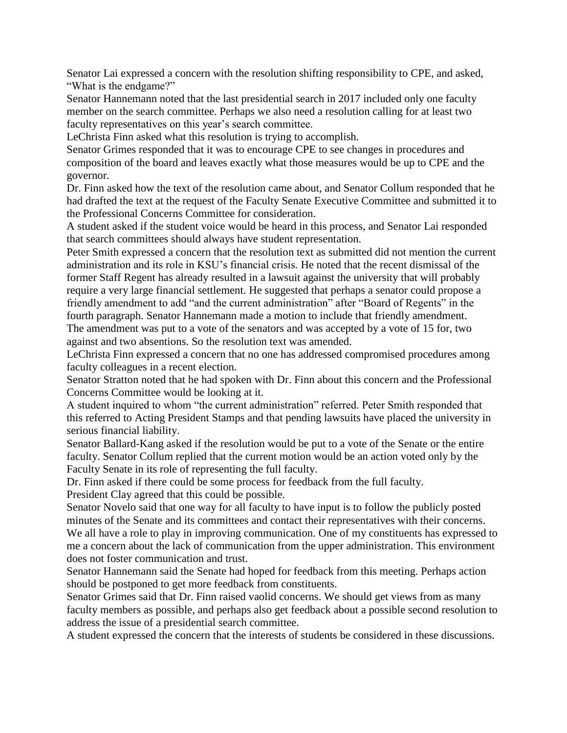Senator Lai expressed a concern with the resolution shifting responsibility to CPE, and asked, "What is the endgame?"

Senator Hannemann noted that the last presidential search in 2017 included only one faculty member on the search committee. Perhaps we also need a resolution calling for at least two faculty representatives on this year's search committee.

LeChrista Finn asked what this resolution is trying to accomplish.

Senator Grimes responded that it was to encourage CPE to see changes in procedures and composition of the board and leaves exactly what those measures would be up to CPE and the governor.

Dr. Finn asked how the text of the resolution came about, and Senator Collum responded that he had drafted the text at the request of the Faculty Senate Executive Committee and submitted it to the Professional Concerns Committee for consideration.

A student asked if the student voice would be heard in this process, and Senator Lai responded that search committees should always have student representation.

Peter Smith expressed a concern that the resolution text as submitted did not mention the current administration and its role in KSU's financial crisis. He noted that the recent dismissal of the former Staff Regent has already resulted in a lawsuit against the university that will probably require a very large financial settlement. He suggested that perhaps a senator could propose a friendly amendment to add "and the current administration" after "Board of Regents" in the fourth paragraph. Senator Hannemann made a motion to include that friendly amendment.

The amendment was put to a vote of the senators and was accepted by a vote of 15 for, two against and two absentions. So the resolution text was amended.

LeChrista Finn expressed a concern that no one has addressed compromised procedures among faculty colleagues in a recent election.

Senator Stratton noted that he had spoken with Dr. Finn about this concern and the Professional Concerns Committee would be looking at it.

A student inquired to whom "the current administration" referred. Peter Smith responded that this referred to Acting President Stamps and that pending lawsuits have placed the university in serious financial liability.

Senator Ballard-Kang asked if the resolution would be put to a vote of the Senate or the entire faculty. Senator Collum replied that the current motion would be an action voted only by the Faculty Senate in its role of representing the full faculty.

Dr. Finn asked if there could be some process for feedback from the full faculty.

President Clay agreed that this could be possible.

Senator Novelo said that one way for all faculty to have input is to follow the publicly posted minutes of the Senate and its committees and contact their representatives with their concerns. We all have a role to play in improving communication. One of my constituents has expressed to me a concern about the lack of communication from the upper administration. This environment does not foster communication and trust.

Senator Hannemann said the Senate had hoped for feedback from this meeting. Perhaps action should be postponed to get more feedback from constituents.

Senator Grimes said that Dr. Finn raised vaolid concerns. We should get views from as many faculty members as possible, and perhaps also get feedback about a possible second resolution to address the issue of a presidential search committee.

A student expressed the concern that the interests of students be considered in these discussions.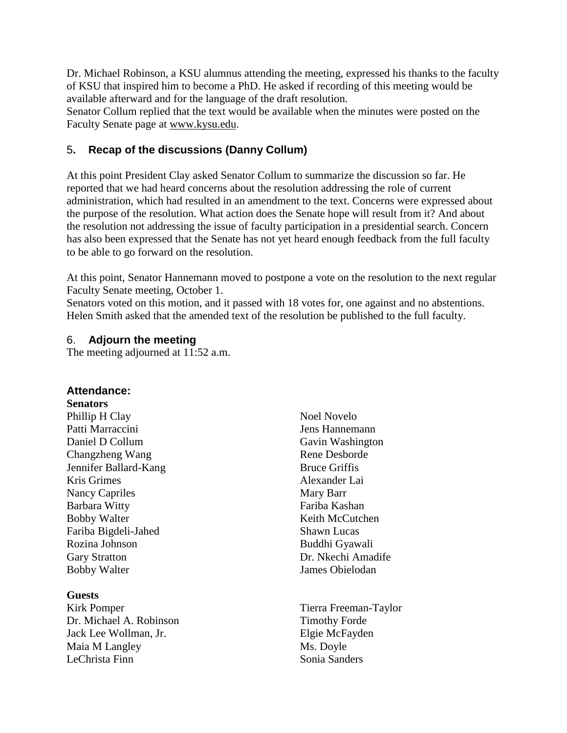Dr. Michael Robinson, a KSU alumnus attending the meeting, expressed his thanks to the faculty of KSU that inspired him to become a PhD. He asked if recording of this meeting would be available afterward and for the language of the draft resolution.

Senator Collum replied that the text would be available when the minutes were posted on the Faculty Senate page at [www.kysu.edu.](http://www.kysu.edu/)

## 5**. Recap of the discussions (Danny Collum)**

At this point President Clay asked Senator Collum to summarize the discussion so far. He reported that we had heard concerns about the resolution addressing the role of current administration, which had resulted in an amendment to the text. Concerns were expressed about the purpose of the resolution. What action does the Senate hope will result from it? And about the resolution not addressing the issue of faculty participation in a presidential search. Concern has also been expressed that the Senate has not yet heard enough feedback from the full faculty to be able to go forward on the resolution.

At this point, Senator Hannemann moved to postpone a vote on the resolution to the next regular Faculty Senate meeting, October 1.

Senators voted on this motion, and it passed with 18 votes for, one against and no abstentions. Helen Smith asked that the amended text of the resolution be published to the full faculty.

### 6. **Adjourn the meeting**

The meeting adjourned at 11:52 a.m.

### **Attendance:**

**Senators**

Phillip H Clay Patti Marraccini Daniel D Collum Changzheng Wang Jennifer Ballard-Kang Kris Grimes Nancy Capriles Barbara Witty Bobby Walter Fariba Bigdeli-Jahed Rozina Johnson Gary Stratton Bobby Walter

### **Guests**

Kirk Pomper Dr. Michael A. Robinson Jack Lee Wollman, Jr. Maia M Langley LeChrista Finn

Noel Novelo Jens Hannemann Gavin Washington Rene Desborde Bruce Griffis Alexander Lai Mary Barr Fariba Kashan Keith McCutchen Shawn Lucas Buddhi Gyawali Dr. Nkechi Amadife James Obielodan

Tierra Freeman-Taylor Timothy Forde Elgie McFayden Ms. Doyle Sonia Sanders